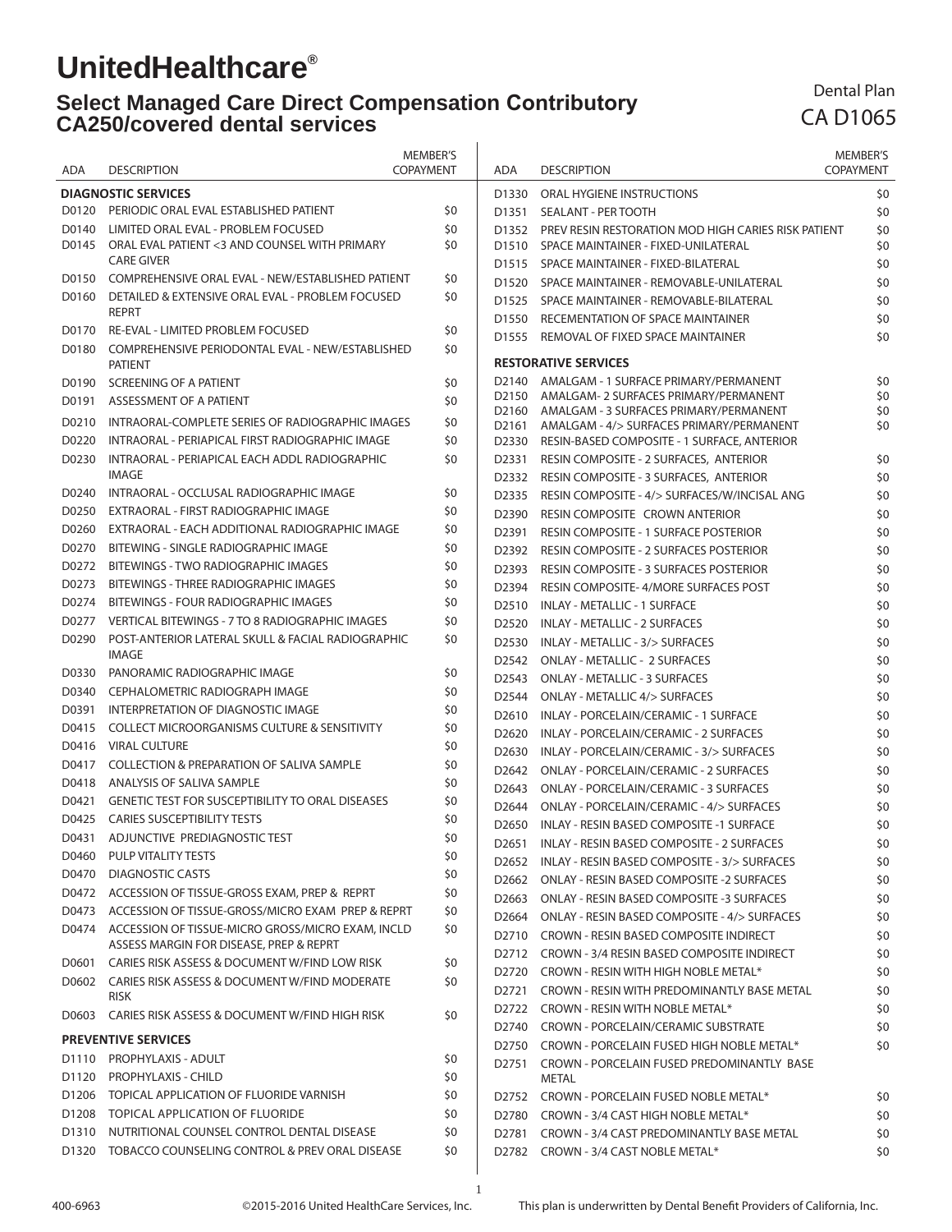# **UnitedHealthcare®**

#### **Select Managed Care Direct Compensation Contributory CA250/covered dental services**  $\overline{1}$

### Dental Plan CA D1065

|       |                                                                    | <b>MEMBER'S</b>  |                   |                                                                                             | <b>MEMBER'S</b>  |
|-------|--------------------------------------------------------------------|------------------|-------------------|---------------------------------------------------------------------------------------------|------------------|
| ADA   | <b>DESCRIPTION</b>                                                 | <b>COPAYMENT</b> | ADA               | <b>DESCRIPTION</b>                                                                          | <b>COPAYMENT</b> |
|       | <b>DIAGNOSTIC SERVICES</b>                                         |                  | D1330             | ORAL HYGIENE INSTRUCTIONS                                                                   | \$0              |
| D0120 | PERIODIC ORAL EVAL ESTABLISHED PATIENT                             | \$0              | D1351             | <b>SEALANT - PER TOOTH</b>                                                                  | \$0              |
| D0140 | LIMITED ORAL EVAL - PROBLEM FOCUSED                                | \$0              |                   | D1352 PREV RESIN RESTORATION MOD HIGH CARIES RISK PATIENT                                   | \$0              |
| D0145 | ORAL EVAL PATIENT <3 AND COUNSEL WITH PRIMARY                      | \$0              | D <sub>1510</sub> | SPACE MAINTAINER - FIXED-UNILATERAL                                                         | \$0              |
|       | <b>CARE GIVER</b>                                                  |                  | D <sub>1515</sub> | SPACE MAINTAINER - FIXED-BILATERAL                                                          | \$0              |
| D0150 | COMPREHENSIVE ORAL EVAL - NEW/ESTABLISHED PATIENT                  | \$0              | D <sub>1520</sub> | SPACE MAINTAINER - REMOVABLE-UNILATERAL                                                     | \$0              |
| D0160 | DETAILED & EXTENSIVE ORAL EVAL - PROBLEM FOCUSED                   | \$0              | D <sub>1525</sub> | SPACE MAINTAINER - REMOVABLE-BILATERAL                                                      | \$0              |
|       | <b>REPRT</b>                                                       |                  | D <sub>1550</sub> | RECEMENTATION OF SPACE MAINTAINER                                                           | \$0              |
| D0170 | RE-EVAL - LIMITED PROBLEM FOCUSED                                  | \$0              | D <sub>1555</sub> | REMOVAL OF FIXED SPACE MAINTAINER                                                           | \$0              |
| D0180 | COMPREHENSIVE PERIODONTAL EVAL - NEW/ESTABLISHED<br><b>PATIENT</b> | \$0              |                   | <b>RESTORATIVE SERVICES</b>                                                                 |                  |
| D0190 | SCREENING OF A PATIENT                                             | \$0              |                   | D2140 AMALGAM - 1 SURFACE PRIMARY/PERMANENT                                                 | \$0              |
| D0191 | ASSESSMENT OF A PATIENT                                            | \$0              |                   | D2150 AMALGAM- 2 SURFACES PRIMARY/PERMANENT<br>D2160 AMALGAM - 3 SURFACES PRIMARY/PERMANENT | \$0<br>\$0       |
| D0210 | INTRAORAL-COMPLETE SERIES OF RADIOGRAPHIC IMAGES                   | \$0              |                   | D2161 AMALGAM - 4/> SURFACES PRIMARY/PERMANENT                                              | \$0              |
| D0220 | INTRAORAL - PERIAPICAL FIRST RADIOGRAPHIC IMAGE                    | \$0              | D2330             | RESIN-BASED COMPOSITE - 1 SURFACE, ANTERIOR                                                 |                  |
| D0230 | INTRAORAL - PERIAPICAL EACH ADDL RADIOGRAPHIC                      | \$0              | D2331             | RESIN COMPOSITE - 2 SURFACES, ANTERIOR                                                      | \$0              |
|       | <b>IMAGE</b>                                                       |                  | D <sub>2332</sub> | RESIN COMPOSITE - 3 SURFACES, ANTERIOR                                                      | \$0              |
| D0240 | INTRAORAL - OCCLUSAL RADIOGRAPHIC IMAGE                            | \$0              | D2335             | RESIN COMPOSITE - 4/> SURFACES/W/INCISAL ANG                                                | \$0              |
| D0250 | EXTRAORAL - FIRST RADIOGRAPHIC IMAGE                               | \$0              | D2390             | RESIN COMPOSITE CROWN ANTERIOR                                                              | \$0              |
| D0260 | EXTRAORAL - EACH ADDITIONAL RADIOGRAPHIC IMAGE                     | \$0              | D2391             | <b>RESIN COMPOSITE - 1 SURFACE POSTERIOR</b>                                                | \$0              |
| D0270 | BITEWING - SINGLE RADIOGRAPHIC IMAGE                               | \$0              | D2392             | RESIN COMPOSITE - 2 SURFACES POSTERIOR                                                      | \$0              |
| D0272 | BITEWINGS - TWO RADIOGRAPHIC IMAGES                                | \$0              | D2393             | <b>RESIN COMPOSITE - 3 SURFACES POSTERIOR</b>                                               | \$0              |
| D0273 | <b>BITEWINGS - THREE RADIOGRAPHIC IMAGES</b>                       | \$0              | D2394             | RESIN COMPOSITE-4/MORE SURFACES POST                                                        | \$0              |
| D0274 | BITEWINGS - FOUR RADIOGRAPHIC IMAGES                               | \$0              | D <sub>2510</sub> | INLAY - METALLIC - 1 SURFACE                                                                | \$0              |
| D0277 | VERTICAL BITEWINGS - 7 TO 8 RADIOGRAPHIC IMAGES                    | \$0              | D <sub>2520</sub> | INLAY - METALLIC - 2 SURFACES                                                               | \$0              |
| D0290 | POST-ANTERIOR LATERAL SKULL & FACIAL RADIOGRAPHIC                  | \$0              | D2530             | INLAY - METALLIC - 3/> SURFACES                                                             | \$0              |
|       | <b>IMAGE</b>                                                       |                  | D2542             | <b>ONLAY - METALLIC - 2 SURFACES</b>                                                        | \$0              |
| D0330 | PANORAMIC RADIOGRAPHIC IMAGE                                       | \$0              | D <sub>2543</sub> | <b>ONLAY - METALLIC - 3 SURFACES</b>                                                        | \$0              |
| D0340 | CEPHALOMETRIC RADIOGRAPH IMAGE                                     | \$0              | D2544             | ONLAY - METALLIC 4/> SURFACES                                                               | \$0              |
| D0391 | INTERPRETATION OF DIAGNOSTIC IMAGE                                 | \$0              | D <sub>2610</sub> | INLAY - PORCELAIN/CERAMIC - 1 SURFACE                                                       | \$0              |
| D0415 | <b>COLLECT MICROORGANISMS CULTURE &amp; SENSITIVITY</b>            | \$0              | D <sub>2620</sub> | INLAY - PORCELAIN/CERAMIC - 2 SURFACES                                                      | \$0              |
| D0416 | <b>VIRAL CULTURE</b>                                               | \$0              | D <sub>2630</sub> | INLAY - PORCELAIN/CERAMIC - 3/> SURFACES                                                    | \$0              |
| D0417 | <b>COLLECTION &amp; PREPARATION OF SALIVA SAMPLE</b>               | \$0              | D <sub>2642</sub> | ONLAY - PORCELAIN/CERAMIC - 2 SURFACES                                                      | \$0              |
| D0418 | ANALYSIS OF SALIVA SAMPLE                                          | \$0              | D <sub>2643</sub> | ONLAY - PORCELAIN/CERAMIC - 3 SURFACES                                                      | \$0              |
| D0421 | <b>GENETIC TEST FOR SUSCEPTIBILITY TO ORAL DISEASES</b>            | \$0              | D <sub>2644</sub> | ONLAY - PORCELAIN/CERAMIC - 4/> SURFACES                                                    | \$0              |
| D0425 | <b>CARIES SUSCEPTIBILITY TESTS</b>                                 | \$0              | D <sub>2650</sub> | INLAY - RESIN BASED COMPOSITE -1 SURFACE                                                    | \$0              |
| D0431 | ADJUNCTIVE PREDIAGNOSTIC TEST                                      | \$0              | D2651             | INLAY - RESIN BASED COMPOSITE - 2 SURFACES                                                  | \$0              |
| D0460 | PULP VITALITY TESTS                                                | \$0              |                   | D2652 INLAY - RESIN BASED COMPOSITE - 3/> SURFACES                                          | \$0              |
| D0470 | <b>DIAGNOSTIC CASTS</b>                                            | \$0              | D2662             | ONLAY - RESIN BASED COMPOSITE -2 SURFACES                                                   | \$0              |
|       | D0472 ACCESSION OF TISSUE-GROSS EXAM, PREP & REPRT                 | \$0              | D2663             | <b>ONLAY - RESIN BASED COMPOSITE -3 SURFACES</b>                                            | \$0              |
|       | D0473 ACCESSION OF TISSUE-GROSS/MICRO EXAM PREP & REPRT            | \$0              | D2664             | ONLAY - RESIN BASED COMPOSITE - 4/> SURFACES                                                | \$0              |
|       | D0474 ACCESSION OF TISSUE-MICRO GROSS/MICRO EXAM, INCLD            | \$0              | D <sub>2710</sub> | <b>CROWN - RESIN BASED COMPOSITE INDIRECT</b>                                               | \$0              |
|       | ASSESS MARGIN FOR DISEASE, PREP & REPRT                            |                  |                   | D2712 CROWN - 3/4 RESIN BASED COMPOSITE INDIRECT                                            |                  |
| D0601 | CARIES RISK ASSESS & DOCUMENT W/FIND LOW RISK                      | \$0              | D2720             | CROWN - RESIN WITH HIGH NOBLE METAL*                                                        | \$0<br>\$0       |
|       | D0602 CARIES RISK ASSESS & DOCUMENT W/FIND MODERATE<br><b>RISK</b> | \$0              | D2721             | CROWN - RESIN WITH PREDOMINANTLY BASE METAL                                                 | \$0              |
| D0603 | CARIES RISK ASSESS & DOCUMENT W/FIND HIGH RISK                     | \$0              |                   | D2722 CROWN - RESIN WITH NOBLE METAL*                                                       | \$0              |
|       |                                                                    |                  |                   | D2740 CROWN - PORCELAIN/CERAMIC SUBSTRATE                                                   | \$0              |
|       | <b>PREVENTIVE SERVICES</b>                                         |                  |                   | D2750 CROWN - PORCELAIN FUSED HIGH NOBLE METAL*                                             | \$0              |
| D1110 | PROPHYLAXIS - ADULT                                                | \$0              | D2751             | CROWN - PORCELAIN FUSED PREDOMINANTLY BASE                                                  |                  |
| D1120 | PROPHYLAXIS - CHILD                                                | \$0              |                   | <b>METAL</b>                                                                                |                  |
| D1206 | TOPICAL APPLICATION OF FLUORIDE VARNISH                            | \$0              |                   | D2752 CROWN - PORCELAIN FUSED NOBLE METAL*                                                  | \$0              |
|       | D1208 TOPICAL APPLICATION OF FLUORIDE                              | \$0              | D2780             | CROWN - 3/4 CAST HIGH NOBLE METAL*                                                          | \$0              |
| D1310 | NUTRITIONAL COUNSEL CONTROL DENTAL DISEASE                         | \$0              | D2781             | CROWN - 3/4 CAST PREDOMINANTLY BASE METAL                                                   | \$0              |
| D1320 | TOBACCO COUNSELING CONTROL & PREV ORAL DISEASE                     | \$0              |                   | D2782 CROWN - 3/4 CAST NOBLE METAL*                                                         | \$0              |

1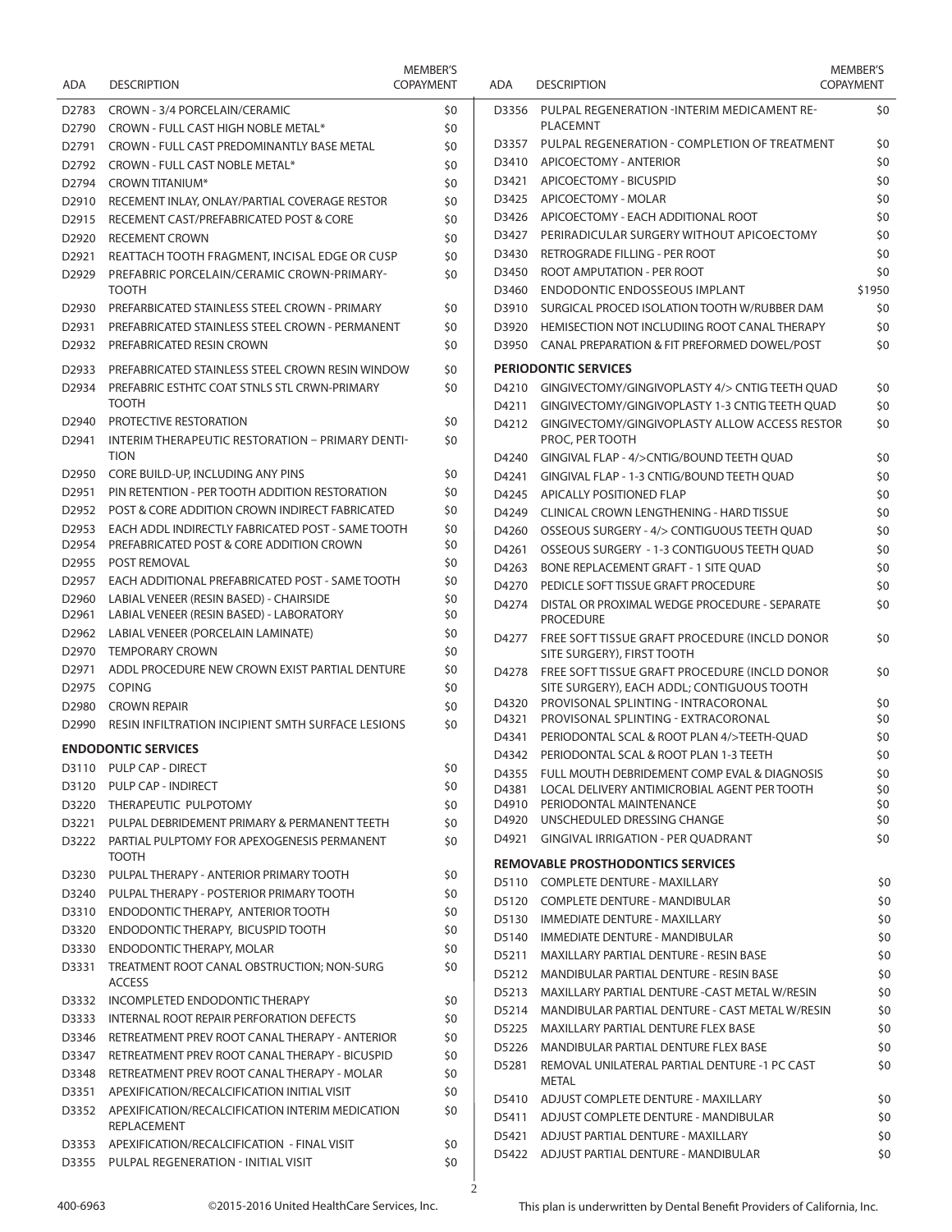| <b>ADA</b>        | <b>DESCRIPTION</b>                                                                            | MEMBER'S<br><b>COPAYMENT</b> |   |
|-------------------|-----------------------------------------------------------------------------------------------|------------------------------|---|
| D2783             | CROWN - 3/4 PORCELAIN/CERAMIC                                                                 | \$0                          |   |
| D <sub>2790</sub> | CROWN - FULL CAST HIGH NOBLE METAL*                                                           | \$0                          |   |
| D <sub>2791</sub> | CROWN - FULL CAST PREDOMINANTLY BASE METAL                                                    | \$0                          |   |
| D <sub>2792</sub> | CROWN - FULL CAST NOBLE METAL*                                                                | \$0                          |   |
| D <sub>2794</sub> | <b>CROWN TITANIUM*</b>                                                                        | \$0                          |   |
| D <sub>2910</sub> | RECEMENT INLAY, ONLAY/PARTIAL COVERAGE RESTOR                                                 | \$0                          |   |
| D <sub>2915</sub> | RECEMENT CAST/PREFABRICATED POST & CORE                                                       | \$0                          |   |
| D <sub>2920</sub> | <b>RECEMENT CROWN</b>                                                                         | \$0                          |   |
| D2921             | REATTACH TOOTH FRAGMENT, INCISAL EDGE OR CUSP                                                 | \$0                          |   |
| D <sub>2929</sub> | PREFABRIC PORCELAIN/CERAMIC CROWN-PRIMARY-<br><b>TOOTH</b>                                    | \$0                          |   |
| D <sub>2930</sub> | PREFARBICATED STAINLESS STEEL CROWN - PRIMARY                                                 | \$0                          |   |
| D2931             | PREFABRICATED STAINLESS STEEL CROWN - PERMANENT                                               | \$0                          |   |
| D2932             | PREFABRICATED RESIN CROWN                                                                     | \$0                          |   |
| D2933             | PREFABRICATED STAINLESS STEEL CROWN RESIN WINDOW                                              | \$0                          |   |
| D2934             | PREFABRIC ESTHTC COAT STNLS STL CRWN-PRIMARY<br><b>TOOTH</b>                                  | \$0                          |   |
| D2940             | PROTECTIVE RESTORATION                                                                        | \$0                          |   |
| D <sub>2941</sub> | INTERIM THERAPEUTIC RESTORATION - PRIMARY DENTI-<br><b>TION</b>                               | \$0                          |   |
| D2950             | CORE BUILD-UP, INCLUDING ANY PINS                                                             | \$0                          |   |
| D2951             | PIN RETENTION - PER TOOTH ADDITION RESTORATION                                                | \$0                          |   |
| D2952             | POST & CORE ADDITION CROWN INDIRECT FABRICATED                                                | \$0                          |   |
| D2953             | EACH ADDL INDIRECTLY FABRICATED POST - SAME TOOTH                                             | \$0                          |   |
| D <sub>2954</sub> | PREFABRICATED POST & CORE ADDITION CROWN                                                      | \$0                          |   |
| D <sub>2955</sub> | <b>POST REMOVAL</b>                                                                           | \$0                          |   |
| D2957             | EACH ADDITIONAL PREFABRICATED POST - SAME TOOTH                                               | \$0                          |   |
| D2960<br>D2961    | LABIAL VENEER (RESIN BASED) - CHAIRSIDE                                                       | \$0<br>\$0                   |   |
| D2962             | LABIAL VENEER (RESIN BASED) - LABORATORY<br>LABIAL VENEER (PORCELAIN LAMINATE)                | \$0                          |   |
| D2970             | TEMPORARY CROWN                                                                               | \$0                          |   |
| D <sub>2971</sub> | ADDL PROCEDURE NEW CROWN EXIST PARTIAL DENTURE                                                | \$0                          |   |
| D2975             | <b>COPING</b>                                                                                 | \$0                          |   |
| D <sub>2980</sub> | <b>CROWN REPAIR</b>                                                                           | \$0                          |   |
| D2990             | RESIN INFILTRATION INCIPIENT SMTH SURFACE LESIONS                                             | \$0                          |   |
|                   | <b>ENDODONTIC SERVICES</b>                                                                    |                              |   |
| D3110             | PULP CAP - DIRECT                                                                             | \$0                          |   |
| D3120             | <b>PULP CAP - INDIRECT</b>                                                                    | \$0                          |   |
| D3220             | THERAPEUTIC PULPOTOMY                                                                         | \$0                          |   |
| D3221             | PULPAL DEBRIDEMENT PRIMARY & PERMANENT TEETH                                                  | \$0                          |   |
| D3222             | PARTIAL PULPTOMY FOR APEXOGENESIS PERMANENT<br>TOOTH                                          | \$0                          |   |
| D3230             | PULPAL THERAPY - ANTERIOR PRIMARY TOOTH                                                       | \$0                          |   |
| D3240             | PULPAL THERAPY - POSTERIOR PRIMARY TOOTH                                                      | \$0                          |   |
| D3310             | ENDODONTIC THERAPY, ANTERIOR TOOTH                                                            | \$0                          |   |
| D3320             | ENDODONTIC THERAPY, BICUSPID TOOTH                                                            | \$0                          |   |
| D3330             | ENDODONTIC THERAPY, MOLAR                                                                     | \$0                          |   |
| D3331             | TREATMENT ROOT CANAL OBSTRUCTION; NON-SURG<br><b>ACCESS</b>                                   | \$0                          |   |
| D3332             | <b>INCOMPLETED ENDODONTIC THERAPY</b>                                                         | \$0                          |   |
| D3333             | INTERNAL ROOT REPAIR PERFORATION DEFECTS                                                      | \$0                          |   |
| D3346             | RETREATMENT PREV ROOT CANAL THERAPY - ANTERIOR                                                | \$0                          |   |
| D3347             | RETREATMENT PREV ROOT CANAL THERAPY - BICUSPID<br>RETREATMENT PREV ROOT CANAL THERAPY - MOLAR | \$0                          |   |
| D3348             |                                                                                               | \$0                          |   |
| D3351             | APEXIFICATION/RECALCIFICATION INITIAL VISIT                                                   | \$0                          |   |
| D3352             | APEXIFICATION/RECALCIFICATION INTERIM MEDICATION<br>REPLACEMENT                               | \$0                          |   |
| D3353             | APEXIFICATION/RECALCIFICATION - FINAL VISIT                                                   | \$0                          |   |
| D3355             | <b>PULPAL REGENERATION - INITIAL VISIT</b>                                                    | \$0                          |   |
|                   |                                                                                               |                              | 2 |

|     | <b>MEMBER'S</b><br><b>COPAYMENT</b> | ADA            | <b>DESCRIPTION</b>                                                                          | <b>MEMBER'S</b><br><b>COPAYMENT</b> |
|-----|-------------------------------------|----------------|---------------------------------------------------------------------------------------------|-------------------------------------|
|     | \$0<br>\$0                          | D3356          | PULPAL REGENERATION -INTERIM MEDICAMENT RE-<br><b>PLACEMNT</b>                              | \$0                                 |
|     | \$0                                 | D3357          | PULPAL REGENERATION - COMPLETION OF TREATMENT                                               | \$0                                 |
|     | \$0                                 | D3410          | APICOECTOMY - ANTERIOR                                                                      | \$0                                 |
|     | \$0                                 | D3421          | APICOECTOMY - BICUSPID                                                                      | \$0                                 |
|     | \$0                                 | D3425          | APICOECTOMY - MOLAR                                                                         | \$0                                 |
|     | \$0                                 | D3426          | APICOECTOMY - EACH ADDITIONAL ROOT                                                          | \$0                                 |
|     | \$0                                 | D3427          | PERIRADICULAR SURGERY WITHOUT APICOECTOMY                                                   | \$0                                 |
| C   | \$0                                 | D3430          | RETROGRADE FILLING - PER ROOT                                                               | \$0                                 |
|     | \$0                                 | D3450          | ROOT AMPUTATION - PER ROOT                                                                  | \$0                                 |
|     |                                     | D3460          | <b>ENDODONTIC ENDOSSEOUS IMPLANT</b>                                                        | \$1950                              |
|     | \$0                                 | D3910          | SURGICAL PROCED ISOLATION TOOTH W/RUBBER DAM                                                | \$0                                 |
| Τ   | \$0                                 | D3920          | HEMISECTION NOT INCLUDIING ROOT CANAL THERAPY                                               | \$0                                 |
|     | \$0                                 | D3950          | CANAL PREPARATION & FIT PREFORMED DOWEL/POST                                                | \$0                                 |
| ЭW  | \$0                                 |                | <b>PERIODONTIC SERVICES</b>                                                                 |                                     |
|     | \$0                                 | D4210          | GINGIVECTOMY/GINGIVOPLASTY 4/> CNTIG TEETH QUAD                                             | \$0                                 |
|     |                                     | D4211          | GINGIVECTOMY/GINGIVOPLASTY 1-3 CNTIG TEETH OUAD                                             | \$0                                 |
| TI- | \$0<br>\$0                          | D4212          | GINGIVECTOMY/GINGIVOPLASTY ALLOW ACCESS RESTOR<br>PROC, PER TOOTH                           | \$0                                 |
|     |                                     | D4240          | GINGIVAL FLAP - 4/>CNTIG/BOUND TEETH OUAD                                                   | \$0                                 |
|     | \$0                                 | D4241          | GINGIVAL FLAP - 1-3 CNTIG/BOUND TEETH OUAD                                                  | \$0                                 |
|     | \$0                                 | D4245          | <b>APICALLY POSITIONED FLAP</b>                                                             | \$0                                 |
|     | \$0                                 | D4249          | <b>CLINICAL CROWN LENGTHENING - HARD TISSUE</b>                                             | \$0                                 |
| TH  | \$0                                 | D4260          | OSSEOUS SURGERY - 4/> CONTIGUOUS TEETH QUAD                                                 | \$0                                 |
|     | \$0                                 | D4261          | OSSEOUS SURGERY - 1-3 CONTIGUOUS TEETH QUAD                                                 | \$0                                 |
|     | \$0                                 | D4263          | BONE REPLACEMENT GRAFT - 1 SITE QUAD                                                        | \$0                                 |
| Н   | \$0                                 | D4270          | PEDICLE SOFT TISSUE GRAFT PROCEDURE                                                         | \$0                                 |
|     | \$0<br>\$0                          | D4274          | DISTAL OR PROXIMAL WEDGE PROCEDURE - SEPARATE<br><b>PROCEDURE</b>                           | \$0                                 |
|     | \$0<br>\$0                          | D4277          | FREE SOFT TISSUE GRAFT PROCEDURE (INCLD DONOR<br>SITE SURGERY), FIRST TOOTH                 | \$0                                 |
| RE  | \$0<br>\$0                          | D4278          | FREE SOFT TISSUE GRAFT PROCEDURE (INCLD DONOR<br>SITE SURGERY), EACH ADDL; CONTIGUOUS TOOTH | \$0                                 |
|     | \$0                                 | D4320          | PROVISONAL SPLINTING - INTRACORONAL                                                         | \$0                                 |
| ٧S  | \$0                                 | D4321          | PROVISONAL SPLINTING - EXTRACORONAL                                                         | \$0                                 |
|     |                                     | D4341          | PERIODONTAL SCAL & ROOT PLAN 4/>TEETH-QUAD                                                  | \$0                                 |
|     | \$0                                 | D4342          | PERIODONTAL SCAL & ROOT PLAN 1-3 TEETH                                                      | \$0                                 |
|     | \$0                                 | D4355          | FULL MOUTH DEBRIDEMENT COMP EVAL & DIAGNOSIS                                                | \$0                                 |
|     | \$0                                 | D4381<br>D4910 | LOCAL DELIVERY ANTIMICROBIAL AGENT PER TOOTH<br>PERIODONTAL MAINTENANCE                     | \$0<br>\$0                          |
|     | \$0                                 | D4920          | UNSCHEDULED DRESSING CHANGE                                                                 | \$0                                 |
|     | \$0                                 | D4921          | <b>GINGIVAL IRRIGATION - PER QUADRANT</b>                                                   | \$0                                 |
|     |                                     |                | <b>REMOVABLE PROSTHODONTICS SERVICES</b>                                                    |                                     |
|     | \$0                                 |                | D5110 COMPLETE DENTURE - MAXILLARY                                                          | \$0                                 |
|     | \$0                                 | D5120          | <b>COMPLETE DENTURE - MANDIBULAR</b>                                                        | \$0                                 |
|     | \$0                                 | D5130          | <b>IMMEDIATE DENTURE - MAXILLARY</b>                                                        | \$0                                 |
|     | \$0                                 | D5140          | IMMEDIATE DENTURE - MANDIBULAR                                                              | \$0                                 |
|     | \$0                                 | D5211          | MAXILLARY PARTIAL DENTURE - RESIN BASE                                                      | \$0                                 |
|     | \$0                                 | D5212          | MANDIBULAR PARTIAL DENTURE - RESIN BASE                                                     | \$0                                 |
|     |                                     | D5213          | MAXILLARY PARTIAL DENTURE - CAST METAL W/RESIN                                              | \$0                                 |
|     | \$0                                 | D5214          | MANDIBULAR PARTIAL DENTURE - CAST METAL W/RESIN                                             | \$0                                 |
|     | \$0                                 | D5225          | MAXILLARY PARTIAL DENTURE FLEX BASE                                                         | \$0                                 |
|     | \$0                                 | D5226          | MANDIBULAR PARTIAL DENTURE FLEX BASE                                                        | \$0                                 |
|     | \$0<br>\$0                          | D5281          | REMOVAL UNILATERAL PARTIAL DENTURE -1 PC CAST                                               | \$0                                 |
|     | \$0                                 |                | METAL                                                                                       |                                     |
| Λ   | \$0                                 | D5410          | ADJUST COMPLETE DENTURE - MAXILLARY                                                         | \$0                                 |
|     |                                     | D5411          | ADJUST COMPLETE DENTURE - MANDIBULAR                                                        | \$0                                 |
|     | \$0                                 | D5421          | ADJUST PARTIAL DENTURE - MAXILLARY                                                          | \$0                                 |
|     | \$0                                 | D5422          | ADJUST PARTIAL DENTURE - MANDIBULAR                                                         | \$0                                 |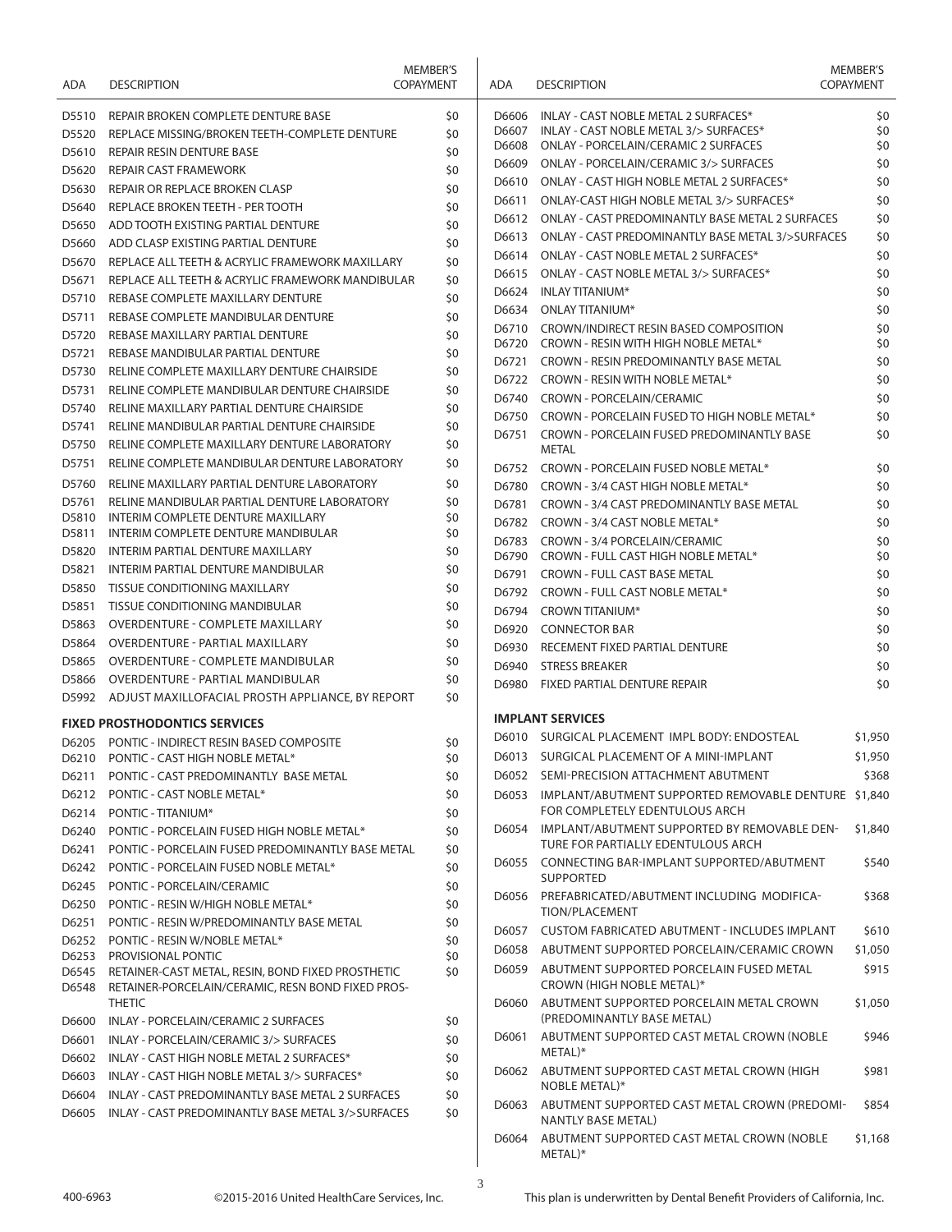| ADA            | <b>DESCRIPTION</b>                                                                                     | <b>MEMBER'S</b><br><b>COPAYMENT</b> | ADA            | <b>DESCRIPTION</b>                                                             | <b>MEMBER'S</b><br><b>COPAYMENT</b> |
|----------------|--------------------------------------------------------------------------------------------------------|-------------------------------------|----------------|--------------------------------------------------------------------------------|-------------------------------------|
| D5510          | REPAIR BROKEN COMPLETE DENTURE BASE                                                                    | \$0                                 | D6606          | INLAY - CAST NOBLE METAL 2 SURFACES*                                           | \$0                                 |
| D5520          | REPLACE MISSING/BROKEN TEETH-COMPLETE DENTURE                                                          | \$0                                 | D6607          | INLAY - CAST NOBLE METAL 3/> SURFACES*                                         | \$0                                 |
| D5610          | <b>REPAIR RESIN DENTURE BASE</b>                                                                       | \$0                                 | D6608          | ONLAY - PORCELAIN/CERAMIC 2 SURFACES                                           | \$0                                 |
| D5620          | <b>REPAIR CAST FRAMEWORK</b>                                                                           | \$0                                 | D6609          | ONLAY - PORCELAIN/CERAMIC 3/> SURFACES                                         | \$0                                 |
| D5630          | REPAIR OR REPLACE BROKEN CLASP                                                                         | \$0                                 | D6610          | ONLAY - CAST HIGH NOBLE METAL 2 SURFACES*                                      | \$0                                 |
| D5640          | REPLACE BROKEN TEETH - PER TOOTH                                                                       | \$0                                 | D6611          | ONLAY-CAST HIGH NOBLE METAL 3/> SURFACES*                                      | \$0                                 |
| D5650          | ADD TOOTH EXISTING PARTIAL DENTURE                                                                     | \$0                                 | D6612          | ONLAY - CAST PREDOMINANTLY BASE METAL 2 SURFACES                               | \$0                                 |
| D5660          | ADD CLASP EXISTING PARTIAL DENTURE                                                                     | \$0                                 | D6613          | ONLAY - CAST PREDOMINANTLY BASE METAL 3/>SURFACES                              | \$0                                 |
| D5670          | REPLACE ALL TEETH & ACRYLIC FRAMEWORK MAXILLARY                                                        | \$0                                 | D6614          | ONLAY - CAST NOBLE METAL 2 SURFACES*                                           | \$0                                 |
| D5671          | REPLACE ALL TEETH & ACRYLIC FRAMEWORK MANDIBULAR                                                       | \$0                                 | D6615          | ONLAY - CAST NOBLE METAL 3/> SURFACES*                                         | \$0                                 |
| D5710          | REBASE COMPLETE MAXILLARY DENTURE                                                                      | \$0                                 | D6624          | <b>INLAY TITANIUM*</b>                                                         | \$0                                 |
| D5711          | REBASE COMPLETE MANDIBULAR DENTURE                                                                     | \$0                                 | D6634          | ONLAY TITANIUM*                                                                | \$0                                 |
| D5720          | REBASE MAXILLARY PARTIAL DENTURE                                                                       | \$0                                 | D6710<br>D6720 | CROWN/INDIRECT RESIN BASED COMPOSITION<br>CROWN - RESIN WITH HIGH NOBLE METAL* | \$0<br>\$0                          |
| D5721          | REBASE MANDIBULAR PARTIAL DENTURE                                                                      | \$0                                 | D6721          | CROWN - RESIN PREDOMINANTLY BASE METAL                                         | \$0                                 |
| D5730          | RELINE COMPLETE MAXILLARY DENTURE CHAIRSIDE                                                            | \$0                                 | D6722          | CROWN - RESIN WITH NOBLE METAL*                                                | \$0                                 |
| D5731          | RELINE COMPLETE MANDIBULAR DENTURE CHAIRSIDE                                                           | \$0                                 | D6740          | <b>CROWN - PORCELAIN/CERAMIC</b>                                               | \$0                                 |
| D5740          | RELINE MAXILLARY PARTIAL DENTURE CHAIRSIDE                                                             | \$0                                 | D6750          | CROWN - PORCELAIN FUSED TO HIGH NOBLE METAL*                                   | \$0                                 |
| D5741          | RELINE MANDIBULAR PARTIAL DENTURE CHAIRSIDE                                                            | \$0                                 | D6751          | CROWN - PORCELAIN FUSED PREDOMINANTLY BASE                                     | \$0                                 |
| D5750          | RELINE COMPLETE MAXILLARY DENTURE LABORATORY                                                           | \$0                                 |                | <b>METAL</b>                                                                   |                                     |
| D5751          | RELINE COMPLETE MANDIBULAR DENTURE LABORATORY                                                          | \$0                                 | D6752          | CROWN - PORCELAIN FUSED NOBLE METAL*                                           | \$0                                 |
| D5760          | RELINE MAXILLARY PARTIAL DENTURE LABORATORY                                                            | \$0                                 | D6780          | CROWN - 3/4 CAST HIGH NOBLE METAL*                                             | \$0                                 |
| D5761          | RELINE MANDIBULAR PARTIAL DENTURE LABORATORY                                                           | \$0                                 | D6781          | CROWN - 3/4 CAST PREDOMINANTLY BASE METAL                                      | \$0                                 |
| D5810          | INTERIM COMPLETE DENTURE MAXILLARY                                                                     | \$0                                 | D6782          | CROWN - 3/4 CAST NOBLE METAL*                                                  | \$0                                 |
| D5811          | INTERIM COMPLETE DENTURE MANDIBULAR                                                                    | \$0                                 | D6783          | CROWN - 3/4 PORCELAIN/CERAMIC                                                  | \$0                                 |
| D5820          | INTERIM PARTIAL DENTURE MAXILLARY                                                                      | \$0                                 | D6790          | CROWN - FULL CAST HIGH NOBLE METAL*                                            | \$0                                 |
| D5821          | INTERIM PARTIAL DENTURE MANDIBULAR                                                                     | \$0                                 | D6791          | <b>CROWN - FULL CAST BASE METAL</b>                                            | \$0                                 |
| D5850          | <b>TISSUE CONDITIONING MAXILLARY</b>                                                                   | \$0                                 | D6792          | CROWN - FULL CAST NOBLE METAL*                                                 | \$0                                 |
| D5851          | TISSUE CONDITIONING MANDIBULAR                                                                         | \$0                                 | D6794          | <b>CROWN TITANIUM*</b>                                                         | \$0                                 |
| D5863          | <b>OVERDENTURE - COMPLETE MAXILLARY</b>                                                                | \$0                                 | D6920          | <b>CONNECTOR BAR</b>                                                           | \$0                                 |
| D5864          | OVERDENTURE - PARTIAL MAXILLARY                                                                        | \$0                                 | D6930          | RECEMENT FIXED PARTIAL DENTURE                                                 | \$0                                 |
| D5865          | <b>OVERDENTURE - COMPLETE MANDIBULAR</b>                                                               | \$0                                 | D6940          | <b>STRESS BREAKER</b>                                                          | \$0                                 |
| D5866          | OVERDENTURE - PARTIAL MANDIBULAR                                                                       | \$0                                 | D6980          | FIXED PARTIAL DENTURE REPAIR                                                   | \$0                                 |
|                | D5992 ADJUST MAXILLOFACIAL PROSTH APPLIANCE, BY REPORT                                                 | \$0                                 |                |                                                                                |                                     |
|                | <b>FIXED PROSTHODONTICS SERVICES</b>                                                                   |                                     |                | <b>IMPLANT SERVICES</b>                                                        |                                     |
| D6205          | PONTIC - INDIRECT RESIN BASED COMPOSITE                                                                | \$0                                 |                | D6010 SURGICAL PLACEMENT IMPL BODY: ENDOSTEAL                                  | \$1,950                             |
|                | D6210 PONTIC - CAST HIGH NOBLE METAL*                                                                  | \$0                                 |                | D6013 SURGICAL PLACEMENT OF A MINI-IMPLANT                                     | \$1,950                             |
| D6211          | PONTIC - CAST PREDOMINANTLY BASE METAL                                                                 | \$0                                 | D6052          | SEMI-PRECISION ATTACHMENT ABUTMENT                                             | \$368                               |
| D6212          | PONTIC - CAST NOBLE METAL*                                                                             | \$0                                 | D6053          | IMPLANT/ABUTMENT SUPPORTED REMOVABLE DENTURE \$1,840                           |                                     |
| D6214          | PONTIC - TITANIUM*                                                                                     | \$0                                 |                | FOR COMPLETELY EDENTULOUS ARCH                                                 |                                     |
| D6240          | PONTIC - PORCELAIN FUSED HIGH NOBLE METAL*                                                             | \$0                                 | D6054          | IMPLANT/ABUTMENT SUPPORTED BY REMOVABLE DEN-                                   | \$1,840                             |
| D6241          | PONTIC - PORCELAIN FUSED PREDOMINANTLY BASE METAL                                                      | \$0                                 |                | TURE FOR PARTIALLY EDENTULOUS ARCH                                             |                                     |
| D6242          | PONTIC - PORCELAIN FUSED NOBLE METAL*                                                                  | \$0                                 |                | D6055 CONNECTING BAR-IMPLANT SUPPORTED/ABUTMENT<br><b>SUPPORTED</b>            | \$540                               |
| D6245          | PONTIC - PORCELAIN/CERAMIC                                                                             | \$0                                 | D6056          | PREFABRICATED/ABUTMENT INCLUDING MODIFICA-                                     | \$368                               |
| D6250          | PONTIC - RESIN W/HIGH NOBLE METAL*                                                                     | \$0                                 |                | TION/PLACEMENT                                                                 |                                     |
| D6251          | PONTIC - RESIN W/PREDOMINANTLY BASE METAL                                                              | \$0                                 | D6057          | <b>CUSTOM FABRICATED ABUTMENT - INCLUDES IMPLANT</b>                           | \$610                               |
| D6252          | PONTIC - RESIN W/NOBLE METAL*                                                                          | \$0                                 | D6058          | ABUTMENT SUPPORTED PORCELAIN/CERAMIC CROWN                                     | \$1,050                             |
| D6253          | PROVISIONAL PONTIC                                                                                     | \$0                                 | D6059          | ABUTMENT SUPPORTED PORCELAIN FUSED METAL                                       | \$915                               |
| D6545<br>D6548 | RETAINER-CAST METAL, RESIN, BOND FIXED PROSTHETIC<br>RETAINER-PORCELAIN/CERAMIC, RESN BOND FIXED PROS- | \$0                                 |                | CROWN (HIGH NOBLE METAL)*                                                      |                                     |
| D6600          | <b>THETIC</b><br>INLAY - PORCELAIN/CERAMIC 2 SURFACES                                                  | \$0                                 | D6060          | ABUTMENT SUPPORTED PORCELAIN METAL CROWN<br>(PREDOMINANTLY BASE METAL)         | \$1,050                             |
| D6601          | INLAY - PORCELAIN/CERAMIC 3/> SURFACES                                                                 | \$0                                 | D6061          | ABUTMENT SUPPORTED CAST METAL CROWN (NOBLE                                     | \$946                               |
| D6602          | INLAY - CAST HIGH NOBLE METAL 2 SURFACES*                                                              | \$0                                 |                | METAL)*                                                                        |                                     |
| D6603          | INLAY - CAST HIGH NOBLE METAL 3/> SURFACES*                                                            | \$0                                 | D6062          | ABUTMENT SUPPORTED CAST METAL CROWN (HIGH                                      | \$981                               |
| D6604<br>D6605 | INLAY - CAST PREDOMINANTLY BASE METAL 2 SURFACES<br>INLAY - CAST PREDOMINANTLY BASE METAL 3/>SURFACES  | \$0<br>\$0                          | D6063          | NOBLE METAL)*<br>ABUTMENT SUPPORTED CAST METAL CROWN (PREDOMI-                 | \$854                               |
|                |                                                                                                        |                                     |                | NANTLY BASE METAL)                                                             |                                     |
|                |                                                                                                        |                                     | D6064          | ABUTMENT SUPPORTED CAST METAL CROWN (NOBLE<br>METAL)*                          | \$1,168                             |

3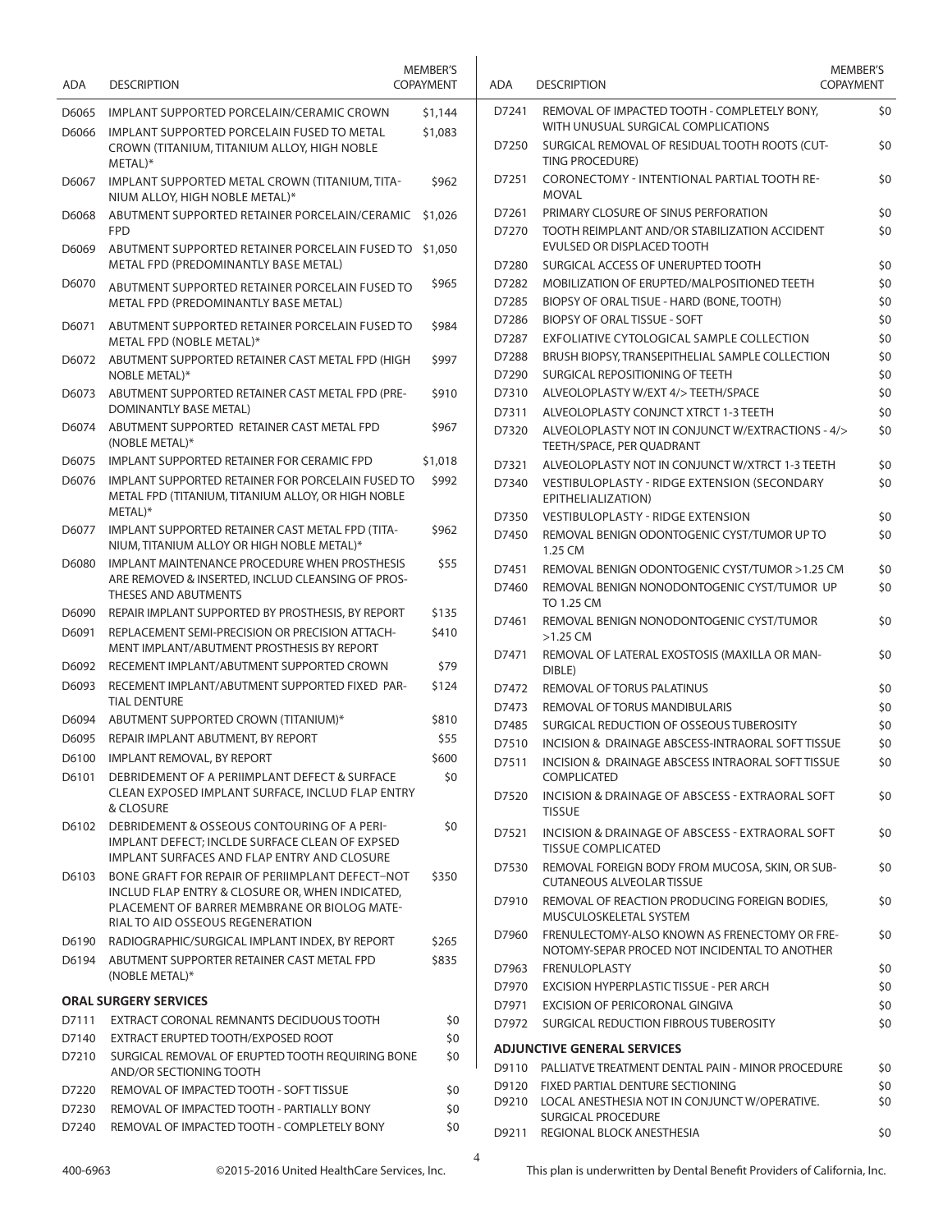| ADA            | <b>DESCRIPTION</b>                                                                                                                            | <b>MEMBER'S</b><br><b>COPAYMENT</b> | <b>ADA</b>     | <b>DESCRIPTION</b>                                                                                                                    | MEMBER'S<br><b>COPAYMENT</b> |
|----------------|-----------------------------------------------------------------------------------------------------------------------------------------------|-------------------------------------|----------------|---------------------------------------------------------------------------------------------------------------------------------------|------------------------------|
| D6065<br>D6066 | IMPLANT SUPPORTED PORCELAIN/CERAMIC CROWN<br><b>IMPLANT SUPPORTED PORCELAIN FUSED TO METAL</b><br>CROWN (TITANIUM, TITANIUM ALLOY, HIGH NOBLE | \$1,144<br>\$1,083                  | D7241<br>D7250 | REMOVAL OF IMPACTED TOOTH - COMPLETELY BONY,<br>WITH UNUSUAL SURGICAL COMPLICATIONS<br>SURGICAL REMOVAL OF RESIDUAL TOOTH ROOTS (CUT- | \$0<br>\$0                   |
| D6067          | METAL)*<br>IMPLANT SUPPORTED METAL CROWN (TITANIUM, TITA-                                                                                     | \$962                               | D7251          | <b>TING PROCEDURE)</b><br>CORONECTOMY - INTENTIONAL PARTIAL TOOTH RE-                                                                 | \$0                          |
|                | NIUM ALLOY, HIGH NOBLE METAL)*                                                                                                                |                                     |                | <b>MOVAL</b>                                                                                                                          |                              |
| D6068          | ABUTMENT SUPPORTED RETAINER PORCELAIN/CERAMIC<br><b>FPD</b>                                                                                   | \$1,026                             | D7261<br>D7270 | PRIMARY CLOSURE OF SINUS PERFORATION<br>TOOTH REIMPLANT AND/OR STABILIZATION ACCIDENT                                                 | \$0<br>\$0                   |
| D6069          | ABUTMENT SUPPORTED RETAINER PORCELAIN FUSED TO \$1,050<br>METAL FPD (PREDOMINANTLY BASE METAL)                                                |                                     | D7280          | EVULSED OR DISPLACED TOOTH<br>SURGICAL ACCESS OF UNERUPTED TOOTH                                                                      | \$0                          |
| D6070          | ABUTMENT SUPPORTED RETAINER PORCELAIN FUSED TO<br>METAL FPD (PREDOMINANTLY BASE METAL)                                                        | \$965                               | D7282<br>D7285 | MOBILIZATION OF ERUPTED/MALPOSITIONED TEETH<br>BIOPSY OF ORAL TISUE - HARD (BONE, TOOTH)                                              | \$0<br>\$0                   |
| D6071          | ABUTMENT SUPPORTED RETAINER PORCELAIN FUSED TO                                                                                                | \$984                               | D7286<br>D7287 | <b>BIOPSY OF ORAL TISSUE - SOFT</b><br>EXFOLIATIVE CYTOLOGICAL SAMPLE COLLECTION                                                      | \$0<br>\$0                   |
|                | METAL FPD (NOBLE METAL)*<br>D6072 ABUTMENT SUPPORTED RETAINER CAST METAL FPD (HIGH                                                            | \$997                               | D7288          | BRUSH BIOPSY, TRANSEPITHELIAL SAMPLE COLLECTION                                                                                       | \$0                          |
| D6073          | NOBLE METAL)*<br>ABUTMENT SUPPORTED RETAINER CAST METAL FPD (PRE-                                                                             | \$910                               | D7290<br>D7310 | SURGICAL REPOSITIONING OF TEETH<br>ALVEOLOPLASTY W/EXT 4/> TEETH/SPACE                                                                | \$0<br>\$0                   |
|                | DOMINANTLY BASE METAL)                                                                                                                        |                                     | D7311          | ALVEOLOPLASTY CONJNCT XTRCT 1-3 TEETH                                                                                                 | \$0                          |
| D6074          | ABUTMENT SUPPORTED RETAINER CAST METAL FPD<br>(NOBLE METAL)*                                                                                  | \$967                               | D7320          | ALVEOLOPLASTY NOT IN CONJUNCT W/EXTRACTIONS - 4/><br>TEETH/SPACE, PER QUADRANT                                                        | \$0                          |
| D6075          | IMPLANT SUPPORTED RETAINER FOR CERAMIC FPD                                                                                                    | \$1,018                             | D7321          | ALVEOLOPLASTY NOT IN CONJUNCT W/XTRCT 1-3 TEETH                                                                                       | \$0                          |
| D6076          | IMPLANT SUPPORTED RETAINER FOR PORCELAIN FUSED TO<br>METAL FPD (TITANIUM, TITANIUM ALLOY, OR HIGH NOBLE                                       | \$992                               | D7340          | VESTIBULOPLASTY - RIDGE EXTENSION (SECONDARY<br>EPITHELIALIZATION)                                                                    | \$0                          |
|                | METAL)*                                                                                                                                       |                                     | D7350          | <b>VESTIBULOPLASTY - RIDGE EXTENSION</b>                                                                                              | \$0                          |
| D6077          | IMPLANT SUPPORTED RETAINER CAST METAL FPD (TITA-<br>NIUM, TITANIUM ALLOY OR HIGH NOBLE METAL)*                                                | \$962                               | D7450          | REMOVAL BENIGN ODONTOGENIC CYST/TUMOR UP TO<br>1.25 CM                                                                                | \$0                          |
| D6080          | IMPLANT MAINTENANCE PROCEDURE WHEN PROSTHESIS<br>ARE REMOVED & INSERTED, INCLUD CLEANSING OF PROS-<br>THESES AND ABUTMENTS                    | \$55                                | D7451<br>D7460 | REMOVAL BENIGN ODONTOGENIC CYST/TUMOR > 1.25 CM<br>REMOVAL BENIGN NONODONTOGENIC CYST/TUMOR UP                                        | \$0<br>\$0                   |
| D6090          | REPAIR IMPLANT SUPPORTED BY PROSTHESIS, BY REPORT                                                                                             | \$135                               |                | TO 1.25 CM                                                                                                                            |                              |
| D6091          | REPLACEMENT SEMI-PRECISION OR PRECISION ATTACH-<br>MENT IMPLANT/ABUTMENT PROSTHESIS BY REPORT                                                 | \$410                               | D7461          | REMOVAL BENIGN NONODONTOGENIC CYST/TUMOR<br>$>1.25$ CM                                                                                | \$0                          |
|                | D6092 RECEMENT IMPLANT/ABUTMENT SUPPORTED CROWN                                                                                               | \$79                                | D7471          | REMOVAL OF LATERAL EXOSTOSIS (MAXILLA OR MAN-<br>DIBLE)                                                                               | \$0                          |
| D6093          | RECEMENT IMPLANT/ABUTMENT SUPPORTED FIXED PAR-<br><b>TIAL DENTURE</b>                                                                         | \$124                               | D7472          | REMOVAL OF TORUS PALATINUS                                                                                                            | \$0                          |
| D6094          | ABUTMENT SUPPORTED CROWN (TITANIUM)*                                                                                                          | \$810                               | D7473          | REMOVAL OF TORUS MANDIBULARIS                                                                                                         | \$0                          |
|                | REPAIR IMPLANT ABUTMENT, BY REPORT                                                                                                            | \$55                                | D7485          | SURGICAL REDUCTION OF OSSEOUS TUBEROSITY                                                                                              | \$0                          |
| D6095          |                                                                                                                                               |                                     | D7510          | INCISION & DRAINAGE ABSCESS-INTRAORAL SOFT TISSUE                                                                                     | \$0                          |
| D6101          | D6100 IMPLANT REMOVAL, BY REPORT<br>DEBRIDEMENT OF A PERIIMPLANT DEFECT & SURFACE                                                             | \$600<br>\$0                        | D7511          | INCISION & DRAINAGE ABSCESS INTRAORAL SOFT TISSUE<br>COMPLICATED                                                                      | \$0                          |
|                | CLEAN EXPOSED IMPLANT SURFACE, INCLUD FLAP ENTRY<br>& CLOSURE                                                                                 |                                     | D7520          | INCISION & DRAINAGE OF ABSCESS - EXTRAORAL SOFT<br><b>TISSUE</b>                                                                      | \$0                          |
| D6102          | DEBRIDEMENT & OSSEOUS CONTOURING OF A PERI-<br>IMPLANT DEFECT; INCLDE SURFACE CLEAN OF EXPSED<br>IMPLANT SURFACES AND FLAP ENTRY AND CLOSURE  | \$0                                 | D7521          | INCISION & DRAINAGE OF ABSCESS - EXTRAORAL SOFT<br><b>TISSUE COMPLICATED</b>                                                          | \$0                          |
| D6103          | BONE GRAFT FOR REPAIR OF PERIIMPLANT DEFECT-NOT<br>INCLUD FLAP ENTRY & CLOSURE OR, WHEN INDICATED,                                            | \$350                               | D7530          | REMOVAL FOREIGN BODY FROM MUCOSA, SKIN, OR SUB-<br><b>CUTANEOUS ALVEOLAR TISSUE</b>                                                   | \$0                          |
|                | PLACEMENT OF BARRER MEMBRANE OR BIOLOG MATE-<br>RIAL TO AID OSSEOUS REGENERATION                                                              |                                     | D7910          | REMOVAL OF REACTION PRODUCING FOREIGN BODIES,<br>MUSCULOSKELETAL SYSTEM                                                               | \$0                          |
| D6190          | RADIOGRAPHIC/SURGICAL IMPLANT INDEX, BY REPORT                                                                                                | \$265                               | D7960          | FRENULECTOMY-ALSO KNOWN AS FRENECTOMY OR FRE-                                                                                         | \$0                          |
|                | D6194 ABUTMENT SUPPORTER RETAINER CAST METAL FPD                                                                                              | \$835                               | D7963          | NOTOMY-SEPAR PROCED NOT INCIDENTAL TO ANOTHER<br>FRENULOPLASTY                                                                        | \$0                          |
|                | (NOBLE METAL)*                                                                                                                                |                                     | D7970          | EXCISION HYPERPLASTIC TISSUE - PER ARCH                                                                                               | \$0                          |
|                | <b>ORAL SURGERY SERVICES</b>                                                                                                                  |                                     | D7971          | EXCISION OF PERICORONAL GINGIVA                                                                                                       | \$0                          |
| D7111          | EXTRACT CORONAL REMNANTS DECIDUOUS TOOTH                                                                                                      | \$0                                 | D7972          | SURGICAL REDUCTION FIBROUS TUBEROSITY                                                                                                 | \$0                          |
| D7140          | EXTRACT ERUPTED TOOTH/EXPOSED ROOT                                                                                                            | \$0                                 |                |                                                                                                                                       |                              |
| D7210          | SURGICAL REMOVAL OF ERUPTED TOOTH REQUIRING BONE                                                                                              | \$0                                 |                | <b>ADJUNCTIVE GENERAL SERVICES</b><br>D9110 PALLIATVE TREATMENT DENTAL PAIN - MINOR PROCEDURE                                         | \$0                          |
|                | AND/OR SECTIONING TOOTH                                                                                                                       |                                     | D9120          | FIXED PARTIAL DENTURE SECTIONING                                                                                                      | \$0                          |
| D7220          | REMOVAL OF IMPACTED TOOTH - SOFT TISSUE                                                                                                       | \$0                                 | D9210          | LOCAL ANESTHESIA NOT IN CONJUNCT W/OPERATIVE.                                                                                         | \$0                          |
| D7230<br>D7240 | REMOVAL OF IMPACTED TOOTH - PARTIALLY BONY<br>REMOVAL OF IMPACTED TOOTH - COMPLETELY BONY                                                     | \$0<br>\$0                          |                | SURGICAL PROCEDURE                                                                                                                    |                              |
|                |                                                                                                                                               |                                     |                | D9211 REGIONAL BLOCK ANESTHESIA                                                                                                       | \$0                          |

4

©2015-2016 United HealthCare Services, Inc. This plan is underwritten by Dental Benefit Providers of California, Inc.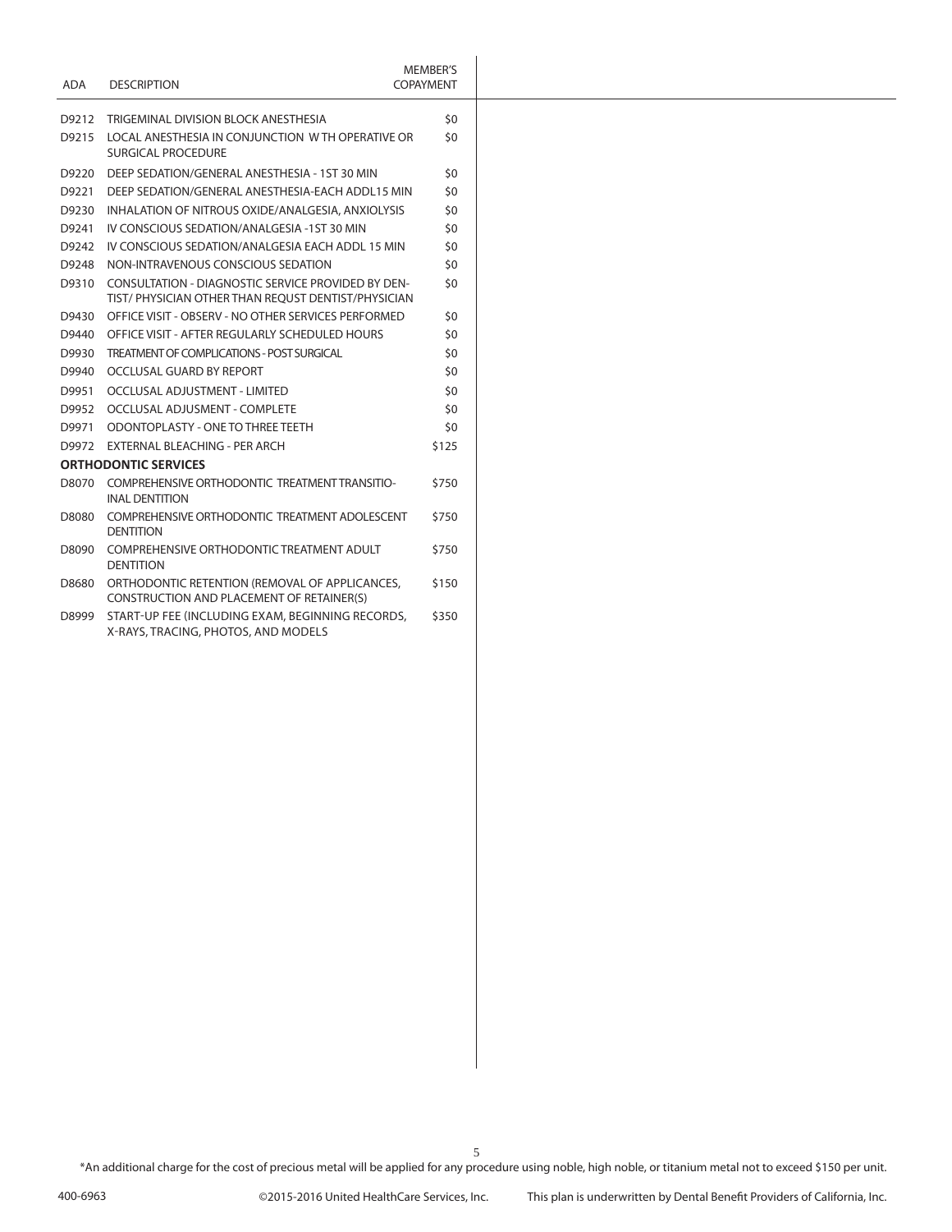| ADA   | <b>DESCRIPTION</b>                                                                                             | <b>MEMBER'S</b><br><b>COPAYMENT</b> |
|-------|----------------------------------------------------------------------------------------------------------------|-------------------------------------|
|       | D9212 TRIGEMINAL DIVISION BLOCK ANESTHESIA                                                                     | \$0                                 |
|       | D9215 LOCAL ANESTHESIA IN CONJUNCTION W TH OPERATIVE OR<br>SURGICAL PROCEDURE                                  | \$0                                 |
| D9220 | DEEP SEDATION/GENERAL ANESTHESIA - 1ST 30 MIN                                                                  | \$0                                 |
| D9221 | DEEP SEDATION/GENERAL ANESTHESIA-EACH ADDL15 MIN                                                               | \$0                                 |
| D9230 | INHALATION OF NITROUS OXIDE/ANALGESIA, ANXIOLYSIS                                                              | \$0                                 |
|       | D9241 IV CONSCIOUS SEDATION/ANALGESIA -1ST 30 MIN                                                              | \$0                                 |
|       | D9242 IV CONSCIOUS SEDATION/ANALGESIA EACH ADDL 15 MIN                                                         | \$0                                 |
| D9248 | NON-INTRAVENOUS CONSCIOUS SEDATION                                                                             | \$0                                 |
|       | D9310 CONSULTATION - DIAGNOSTIC SERVICE PROVIDED BY DEN-<br>TIST/PHYSICIAN OTHER THAN REOUST DENTIST/PHYSICIAN | \$0                                 |
|       | D9430 OFFICE VISIT - OBSERV - NO OTHER SERVICES PERFORMED                                                      | \$0                                 |
|       | D9440 OFFICE VISIT - AFTER REGULARLY SCHEDULED HOURS                                                           | \$0                                 |
|       | D9930 TREATMENT OF COMPLICATIONS - POST SURGICAL                                                               | \$0                                 |
|       | D9940 OCCLUSAL GUARD BY REPORT                                                                                 | \$0                                 |
| D9951 | OCCLUSAL ADJUSTMENT - LIMITED                                                                                  | \$0                                 |
|       | D9952 OCCLUSAL ADJUSMENT - COMPLETE                                                                            | \$0                                 |
|       | D9971 ODONTOPLASTY - ONE TO THREE TEETH                                                                        | \$0                                 |
|       | D9972 EXTERNAL BLEACHING - PER ARCH                                                                            | \$125                               |
|       | <b>ORTHODONTIC SERVICES</b>                                                                                    |                                     |
|       | D8070 COMPREHENSIVE ORTHODONTIC TREATMENT TRANSITIO-<br><b>INAL DENTITION</b>                                  | \$750                               |
| D8080 | COMPREHENSIVE ORTHODONTIC TREATMENT ADOLESCENT<br><b>DENTITION</b>                                             | \$750                               |
| D8090 | COMPREHENSIVE ORTHODONTIC TREATMENT ADULT<br><b>DENTITION</b>                                                  | \$750                               |
| D8680 | ORTHODONTIC RETENTION (REMOVAL OF APPLICANCES,<br>CONSTRUCTION AND PLACEMENT OF RETAINER(S)                    | \$150                               |
| D8999 | START-UP FEE (INCLUDING EXAM, BEGINNING RECORDS,<br>X-RAYS, TRACING, PHOTOS, AND MODELS                        | \$350                               |
|       |                                                                                                                |                                     |

5 \*An additional charge for the cost of precious metal will be applied for any procedure using noble, high noble, or titanium metal not to exceed \$150 per unit.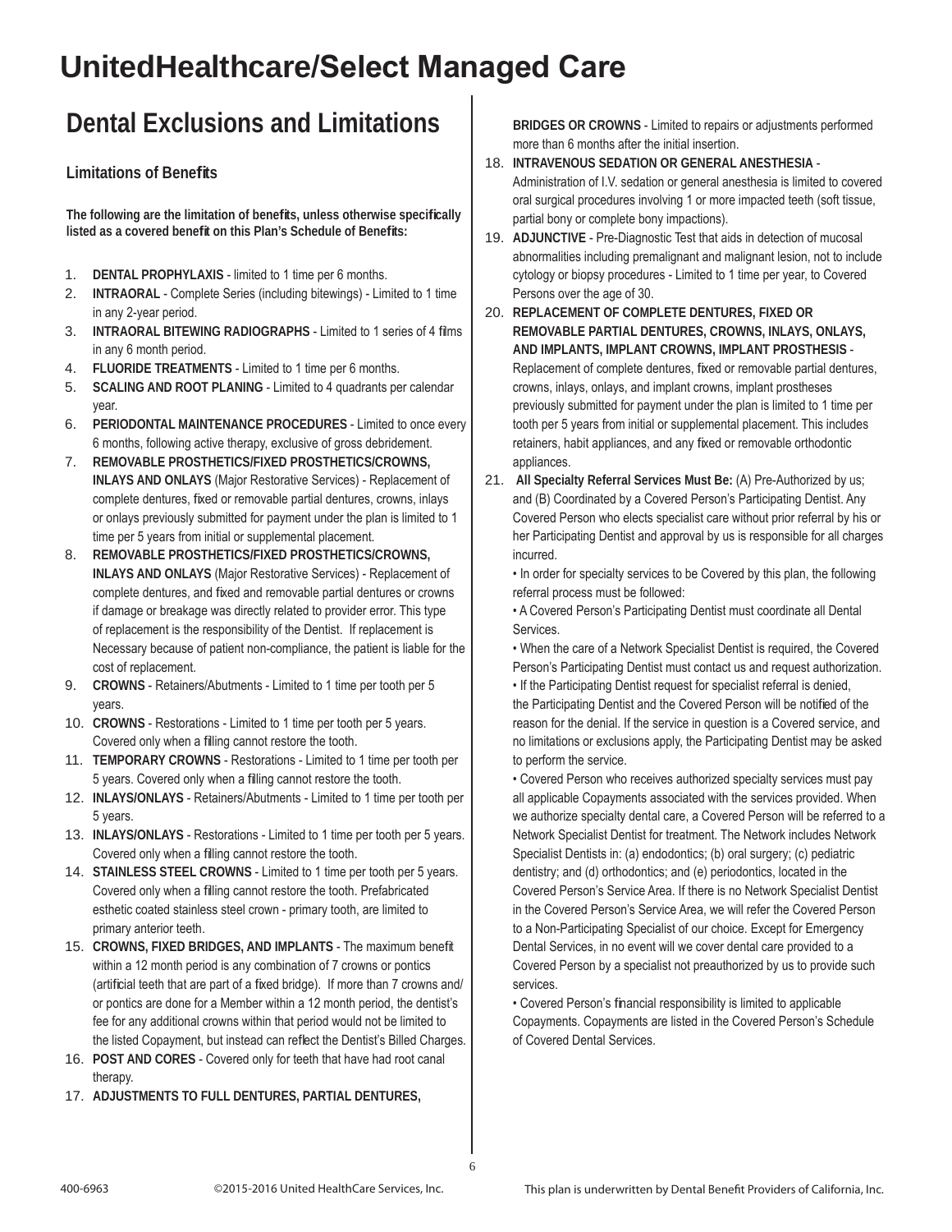# **UnitedHealthcare/Select Managed Care**

## **Dental Exclusions and Limitations**

#### **Limitations of Benefi ts**

**The following are the limitation of benefi ts, unless otherwise specifi cally**  listed as a covered benefit on this Plan's Schedule of Benefits:

- 1. **DENTAL PROPHYLAXIS** limited to 1 time per 6 months.
- 2. **INTRAORAL** Complete Series (including bitewings) Limited to 1 time in any 2-year period.
- 3. **INTRAORAL BITEWING RADIOGRAPHS** Limited to 1 series of 4 films in any 6 month period.
- 4. **FLUORIDE TREATMENTS** Limited to 1 time per 6 months.
- 5. **SCALING AND ROOT PLANING** Limited to 4 quadrants per calendar year.
- 6. **PERIODONTAL MAINTENANCE PROCEDURES** Limited to once every 6 months, following active therapy, exclusive of gross debridement.
- 7. **REMOVABLE PROSTHETICS/FIXED PROSTHETICS/CROWNS, INLAYS AND ONLAYS** (Major Restorative Services) - Replacement of complete dentures, fixed or removable partial dentures, crowns, inlays or onlays previously submitted for payment under the plan is limited to 1 time per 5 years from initial or supplemental placement.
- 8. **REMOVABLE PROSTHETICS/FIXED PROSTHETICS/CROWNS, INLAYS AND ONLAYS** (Major Restorative Services) - Replacement of complete dentures, and fixed and removable partial dentures or crowns if damage or breakage was directly related to provider error. This type of replacement is the responsibility of the Dentist. If replacement is Necessary because of patient non-compliance, the patient is liable for the cost of replacement.
- 9. **CROWNS** Retainers/Abutments Limited to 1 time per tooth per 5 years.
- 10. **CROWNS** Restorations Limited to 1 time per tooth per 5 years. Covered only when a filling cannot restore the tooth.
- 11. **TEMPORARY CROWNS** Restorations Limited to 1 time per tooth per 5 years. Covered only when a filling cannot restore the tooth.
- 12. **INLAYS/ONLAYS** Retainers/Abutments Limited to 1 time per tooth per 5 years.
- 13. **INLAYS/ONLAYS** Restorations Limited to 1 time per tooth per 5 years. Covered only when a filling cannot restore the tooth.
- 14. **STAINLESS STEEL CROWNS** Limited to 1 time per tooth per 5 years. Covered only when a filling cannot restore the tooth. Prefabricated esthetic coated stainless steel crown - primary tooth, are limited to primary anterior teeth.
- 15. CROWNS, FIXED BRIDGES, AND IMPLANTS The maximum benefit within a 12 month period is any combination of 7 crowns or pontics (artificial teeth that are part of a fixed bridge). If more than 7 crowns and/ or pontics are done for a Member within a 12 month period, the dentist's fee for any additional crowns within that period would not be limited to the listed Copayment, but instead can reflect the Dentist's Billed Charges.
- 16. **POST AND CORES** Covered only for teeth that have had root canal therapy.
- 17. **ADJUSTMENTS TO FULL DENTURES, PARTIAL DENTURES,**

**BRIDGES OR CROWNS** - Limited to repairs or adjustments performed more than 6 months after the initial insertion.

- 18. **INTRAVENOUS SEDATION OR GENERAL ANESTHESIA** Administration of I.V. sedation or general anesthesia is limited to covered oral surgical procedures involving 1 or more impacted teeth (soft tissue, partial bony or complete bony impactions).
- 19. **ADJUNCTIVE** Pre-Diagnostic Test that aids in detection of mucosal abnormalities including premalignant and malignant lesion, not to include cytology or biopsy procedures - Limited to 1 time per year, to Covered Persons over the age of 30.
- 20. **REPLACEMENT OF COMPLETE DENTURES, FIXED OR REMOVABLE PARTIAL DENTURES, CROWNS, INLAYS, ONLAYS, AND IMPLANTS, IMPLANT CROWNS, IMPLANT PROSTHESIS** - Replacement of complete dentures, fixed or removable partial dentures, crowns, inlays, onlays, and implant crowns, implant prostheses previously submitted for payment under the plan is limited to 1 time per tooth per 5 years from initial or supplemental placement. This includes retainers, habit appliances, and any fixed or removable orthodontic appliances.
- 21. **All Specialty Referral Services Must Be:** (A) Pre-Authorized by us; and (B) Coordinated by a Covered Person's Participating Dentist. Any Covered Person who elects specialist care without prior referral by his or her Participating Dentist and approval by us is responsible for all charges incurred.

• In order for specialty services to be Covered by this plan, the following referral process must be followed:

• A Covered Person's Participating Dentist must coordinate all Dental Services.

• When the care of a Network Specialist Dentist is required, the Covered Person's Participating Dentist must contact us and request authorization.

• If the Participating Dentist request for specialist referral is denied, the Participating Dentist and the Covered Person will be notified of the reason for the denial. If the service in question is a Covered service, and no limitations or exclusions apply, the Participating Dentist may be asked to perform the service.

• Covered Person who receives authorized specialty services must pay all applicable Copayments associated with the services provided. When we authorize specialty dental care, a Covered Person will be referred to a Network Specialist Dentist for treatment. The Network includes Network Specialist Dentists in: (a) endodontics; (b) oral surgery; (c) pediatric dentistry; and (d) orthodontics; and (e) periodontics, located in the Covered Person's Service Area. If there is no Network Specialist Dentist in the Covered Person's Service Area, we will refer the Covered Person to a Non-Participating Specialist of our choice. Except for Emergency Dental Services, in no event will we cover dental care provided to a Covered Person by a specialist not preauthorized by us to provide such services.

• Covered Person's financial responsibility is limited to applicable Copayments. Copayments are listed in the Covered Person's Schedule of Covered Dental Services.